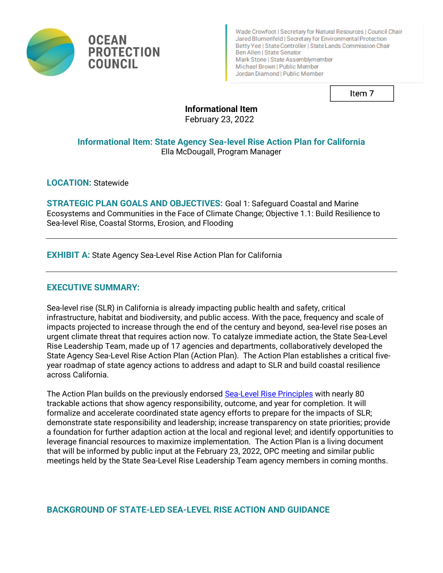

**PROTECTION** 

Wade Crowfoot | Secretary for Natural Resources | Council Chair Jared Blumenfeld | Secretary for Environmental Protection Betty Yee | State Controller | State Lands Commission Chair Ben Allen | State Senator Mark Stone | State Assemblymember Michael Brown | Public Member Jordan Diamond | Public Member

Item<sub>7</sub>

# **Informational Item**

February 23, 2022

## **Informational Item: State Agency Sea-level Rise Action Plan for California** Ella McDougall, Program Manager

**LOCATION:** Statewide

**OCEAN** 

**COUNCIL** 

**STRATEGIC PLAN GOALS AND OBJECTIVES:** Goal 1: Safeguard Coastal and Marine Ecosystems and Communities in the Face of Climate Change; Objective 1.1: Build Resilience to Sea-level Rise, Coastal Storms, Erosion, and Flooding

**EXHIBIT A:** State Agency Sea-Level Rise Action Plan for California

## **EXECUTIVE SUMMARY:**

Sea-level rise (SLR) in California is already impacting public health and safety, critical infrastructure, habitat and biodiversity, and public access. With the pace, frequency and scale of impacts projected to increase through the end of the century and beyond, sea-level rise poses an urgent climate threat that requires action now. To catalyze immediate action, the State Sea-Level Rise Leadership Team, made up of 17 agencies and departments, collaboratively developed the State Agency Sea-Level Rise Action Plan (Action Plan). The Action Plan establishes a critical fiveyear roadmap of state agency actions to address and adapt to SLR and build coastal resilience across California.

The Action Plan builds on the previously endorsed [Sea-Level Rise Principles](https://www.opc.ca.gov/webmaster/_media_library/2021/01/State-SLR-Principles-Doc_Oct2020.pdf) with nearly 80 trackable actions that show agency responsibility, outcome, and year for completion. It will formalize and accelerate coordinated state agency efforts to prepare for the impacts of SLR; demonstrate state responsibility and leadership; increase transparency on state priorities; provide a foundation for further adaption action at the local and regional level; and identify opportunities to leverage financial resources to maximize implementation. The Action Plan is a living document that will be informed by public input at the February 23, 2022, OPC meeting and similar public meetings held by the State Sea-Level Rise Leadership Team agency members in coming months.

## **BACKGROUND OF STATE-LED SEA-LEVEL RISE ACTION AND GUIDANCE**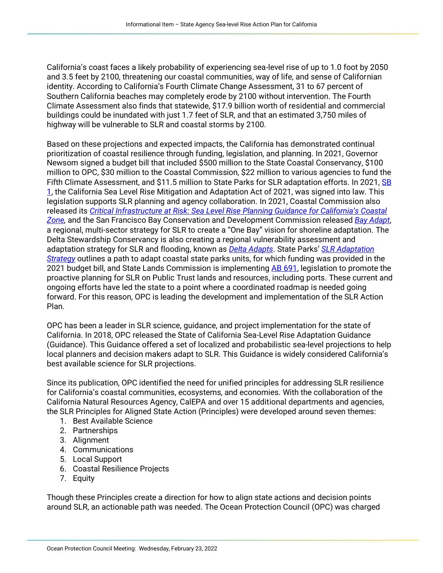California's coast faces a likely probability of experiencing sea-level rise of up to 1.0 foot by 2050 and 3.5 feet by 2100, threatening our coastal communities, way of life, and sense of Californian identity. According to California's Fourth Climate Change Assessment, 31 to 67 percent of Southern California beaches may completely erode by 2100 without intervention. The Fourth Climate Assessment also finds that statewide, \$17.9 billion worth of residential and commercial buildings could be inundated with just 1.7 feet of SLR, and that an estimated 3,750 miles of highway will be vulnerable to SLR and coastal storms by 2100.

Based on these projections and expected impacts, the California has demonstrated continual prioritization of coastal resilience through funding, legislation, and planning. In 2021, Governor Newsom signed a budget bill that included \$500 million to the State Coastal Conservancy, \$100 million to OPC, \$30 million to the Coastal Commission, \$22 million to various agencies to fund the Fifth Climate Assessment, and \$11.5 million to State Parks for SLR adaptation efforts. In 2021, SB [1,](https://leginfo.legislature.ca.gov/faces/billTextClient.xhtml?bill_id=202120220SB1) the California Sea Level Rise Mitigation and Adaptation Act of 2021, was signed into law. This legislation supports SLR planning and agency collaboration. In 2021, Coastal Commission also released its *[Critical Infrastructure at Risk: Sea Level Rise Planning Guidance for California's Coastal](https://www.coastal.ca.gov/climate/slr/vulnerability-adaptation/infrastructure/)  [Zone,](https://www.coastal.ca.gov/climate/slr/vulnerability-adaptation/infrastructure/)* and the San Francisco Bay Conservation and Development Commission released *[Bay Adapt](https://www.bayadapt.org/jointplatform/)*, a regional, multi-sector strategy for SLR to create a "One Bay" vision for shoreline adaptation. The Delta Stewardship Conservancy is also creating a regional vulnerability assessment and adaptation strategy for SLR and flooding, known as *[Delta Adapts](https://deltacouncil.ca.gov/delta-plan/climate-change)*. State Parks' *[SLR Adaptation](https://www.parks.ca.gov/?page_id=30540#:~:text=Our%20Strategy%20will%3A,event%20impacts%20at%20coastal%20parks)  [Strategy](https://www.parks.ca.gov/?page_id=30540#:~:text=Our%20Strategy%20will%3A,event%20impacts%20at%20coastal%20parks)* outlines a path to adapt coastal state parks units, for which funding was provided in the 2021 budget bill, and State Lands Commission is implementing **AB 691**, legislation to promote the proactive planning for SLR on Public Trust lands and resources, including ports. These current and ongoing efforts have led the state to a point where a coordinated roadmap is needed going forward. For this reason, OPC is leading the development and implementation of the SLR Action Plan.

OPC has been a leader in SLR science, guidance, and project implementation for the state of California. In 2018, OPC released the State of California Sea-Level Rise Adaptation Guidance (Guidance). This Guidance offered a set of localized and probabilistic sea-level projections to help local planners and decision makers adapt to SLR. This Guidance is widely considered California's best available science for SLR projections.

Since its publication, OPC identified the need for unified principles for addressing SLR resilience for California's coastal communities, ecosystems, and economies. With the collaboration of the California Natural Resources Agency, CalEPA and over 15 additional departments and agencies, the SLR Principles for Aligned State Action (Principles) were developed around seven themes:

- 1. Best Available Science
- 2. Partnerships
- 3. Alignment
- 4. Communications
- 5. Local Support
- 6. Coastal Resilience Projects
- 7. Equity

Though these Principles create a direction for how to align state actions and decision points around SLR, an actionable path was needed. The Ocean Protection Council (OPC) was charged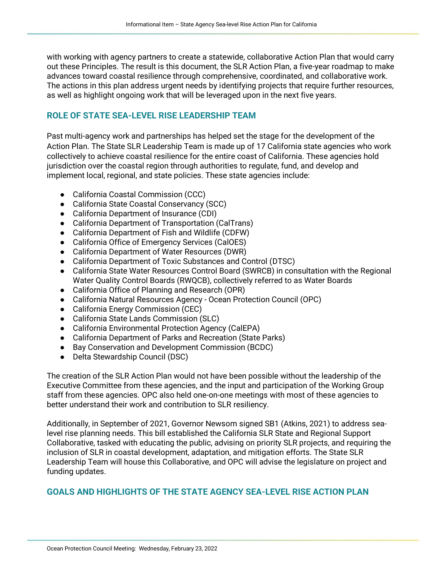with working with agency partners to create a statewide, collaborative Action Plan that would carry out these Principles. The result is this document, the SLR Action Plan, a five-year roadmap to make advances toward coastal resilience through comprehensive, coordinated, and collaborative work. The actions in this plan address urgent needs by identifying projects that require further resources, as well as highlight ongoing work that will be leveraged upon in the next five years.

### **ROLE OF STATE SEA-LEVEL RISE LEADERSHIP TEAM**

Past multi-agency work and partnerships has helped set the stage for the development of the Action Plan. The State SLR Leadership Team is made up of 17 California state agencies who work collectively to achieve coastal resilience for the entire coast of California. These agencies hold jurisdiction over the coastal region through authorities to regulate, fund, and develop and implement local, regional, and state policies. These state agencies include:

- California Coastal Commission (CCC)
- California State Coastal Conservancy (SCC)
- California Department of Insurance (CDI)
- California Department of Transportation (CalTrans)
- California Department of Fish and Wildlife (CDFW)
- California Office of Emergency Services (CalOES)
- California Department of Water Resources (DWR)
- California Department of Toxic Substances and Control (DTSC)
- California State Water Resources Control Board (SWRCB) in consultation with the Regional Water Quality Control Boards (RWQCB), collectively referred to as Water Boards
- California Office of Planning and Research (OPR)
- California Natural Resources Agency Ocean Protection Council (OPC)
- California Energy Commission (CEC)
- California State Lands Commission (SLC)
- California Environmental Protection Agency (CalEPA)
- California Department of Parks and Recreation (State Parks)
- Bay Conservation and Development Commission (BCDC)
- Delta Stewardship Council (DSC)

The creation of the SLR Action Plan would not have been possible without the leadership of the Executive Committee from these agencies, and the input and participation of the Working Group staff from these agencies. OPC also held one-on-one meetings with most of these agencies to better understand their work and contribution to SLR resiliency.

Additionally, in September of 2021, Governor Newsom signed SB1 (Atkins, 2021) to address sealevel rise planning needs. This bill established the California SLR State and Regional Support Collaborative, tasked with educating the public, advising on priority SLR projects, and requiring the inclusion of SLR in coastal development, adaptation, and mitigation efforts. The State SLR Leadership Team will house this Collaborative, and OPC will advise the legislature on project and funding updates.

### **GOALS AND HIGHLIGHTS OF THE STATE AGENCY SEA-LEVEL RISE ACTION PLAN**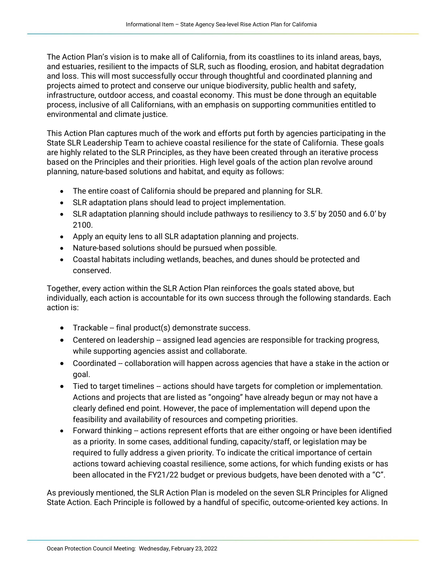The Action Plan's vision is to make all of California, from its coastlines to its inland areas, bays, and estuaries, resilient to the impacts of SLR, such as flooding, erosion, and habitat degradation and loss. This will most successfully occur through thoughtful and coordinated planning and projects aimed to protect and conserve our unique biodiversity, public health and safety, infrastructure, outdoor access, and coastal economy. This must be done through an equitable process, inclusive of all Californians, with an emphasis on supporting communities entitled to environmental and climate justice.

This Action Plan captures much of the work and efforts put forth by agencies participating in the State SLR Leadership Team to achieve coastal resilience for the state of California. These goals are highly related to the SLR Principles, as they have been created through an iterative process based on the Principles and their priorities. High level goals of the action plan revolve around planning, nature-based solutions and habitat, and equity as follows:

- The entire coast of California should be prepared and planning for SLR.
- SLR adaptation plans should lead to project implementation.
- SLR adaptation planning should include pathways to resiliency to 3.5' by 2050 and 6.0' by 2100.
- Apply an equity lens to all SLR adaptation planning and projects.
- Nature-based solutions should be pursued when possible.
- Coastal habitats including wetlands, beaches, and dunes should be protected and conserved.

Together, every action within the SLR Action Plan reinforces the goals stated above, but individually, each action is accountable for its own success through the following standards. Each action is:

- Trackable -- final product(s) demonstrate success.
- Centered on leadership -- assigned lead agencies are responsible for tracking progress, while supporting agencies assist and collaborate.
- Coordinated -- collaboration will happen across agencies that have a stake in the action or goal.
- Tied to target timelines -- actions should have targets for completion or implementation. Actions and projects that are listed as "ongoing" have already begun or may not have a clearly defined end point. However, the pace of implementation will depend upon the feasibility and availability of resources and competing priorities.
- Forward thinking -- actions represent efforts that are either ongoing or have been identified as a priority. In some cases, additional funding, capacity/staff, or legislation may be required to fully address a given priority. To indicate the critical importance of certain actions toward achieving coastal resilience, some actions, for which funding exists or has been allocated in the FY21/22 budget or previous budgets, have been denoted with a "C".

As previously mentioned, the SLR Action Plan is modeled on the seven SLR Principles for Aligned State Action. Each Principle is followed by a handful of specific, outcome-oriented key actions. In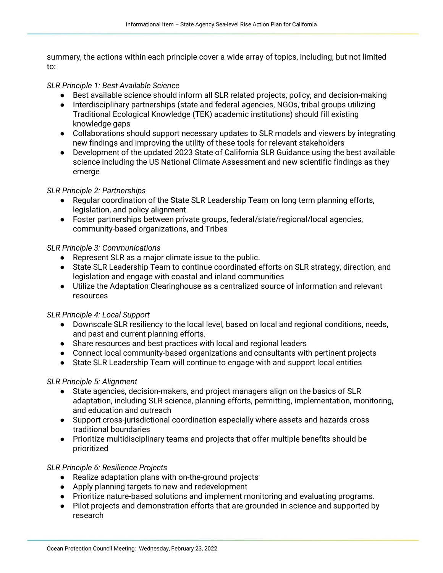summary, the actions within each principle cover a wide array of topics, including, but not limited to:

#### *SLR Principle 1: Best Available Science*

- Best available science should inform all SLR related projects, policy, and decision-making
- Interdisciplinary partnerships (state and federal agencies, NGOs, tribal groups utilizing Traditional Ecological Knowledge (TEK) academic institutions) should fill existing knowledge gaps
- Collaborations should support necessary updates to SLR models and viewers by integrating new findings and improving the utility of these tools for relevant stakeholders
- Development of the updated 2023 State of California SLR Guidance using the best available science including the US National Climate Assessment and new scientific findings as they emerge

#### *SLR Principle 2: Partnerships*

- Regular coordination of the State SLR Leadership Team on long term planning efforts, legislation, and policy alignment.
- Foster partnerships between private groups, federal/state/regional/local agencies, community-based organizations, and Tribes

#### *SLR Principle 3: Communications*

- Represent SLR as a major climate issue to the public.
- State SLR Leadership Team to continue coordinated efforts on SLR strategy, direction, and legislation and engage with coastal and inland communities
- Utilize the Adaptation Clearinghouse as a centralized source of information and relevant resources

#### *SLR Principle 4: Local Support*

- Downscale SLR resiliency to the local level, based on local and regional conditions, needs, and past and current planning efforts.
- Share resources and best practices with local and regional leaders
- Connect local community-based organizations and consultants with pertinent projects
- State SLR Leadership Team will continue to engage with and support local entities

#### *SLR Principle 5: Alignment*

- State agencies, decision-makers, and project managers align on the basics of SLR adaptation, including SLR science, planning efforts, permitting, implementation, monitoring, and education and outreach
- Support cross-jurisdictional coordination especially where assets and hazards cross traditional boundaries
- Prioritize multidisciplinary teams and projects that offer multiple benefits should be prioritized

#### *SLR Principle 6: Resilience Projects*

- Realize adaptation plans with on-the-ground projects
- Apply planning targets to new and redevelopment
- Prioritize nature-based solutions and implement monitoring and evaluating programs.
- Pilot projects and demonstration efforts that are grounded in science and supported by research